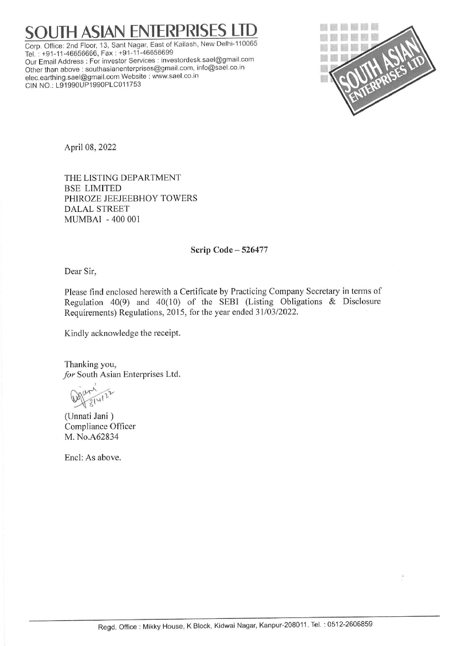## **H ASIAN ENTERPRISES**

Corp. Office: 2nd Floor, 13, Sant Nagar, East of Kailash, New Delhi-110065 Tel. : +91-11-46656666, Fax : +91-11-46656699 Our Email Address : For investor Services : investordesk.sael@gmail.com Other than above : southasianenterprises@gmail.com, info@sael.co.in elec.earthing.sael@gmail.com Website ; www.sael.co.in CIN NO.: L91990UP1990PLC011753



April 08, 2022

THE LISTING DEPARTMENT BSE LIMITED PHIROZE JEEJEEBHOY TOWERS DALAL STREET MUMBAI - 400 001

## Scrip Code — 526477

Dear Sir,

Please find enclosed herewith a Certificate by Practicing Company Secretary in terms of Regulation 40(9) and 40(10) of the SEBI (Listing Obligations  $\&$  Disclosure Requirements) Regulations, 2015, for the year ended 31/03/2022. MUMBAI - 400 001<br>
Serip Code<br>
Dear Sir,<br>
Please find enclosed herewith a Certificate by F<br>
Regulation 40(9) and 40(10) of the SEE<br>
Requirements) Regulations, 2015, for the year of<br>
Kindly acknowledge the receipt.<br>
Thankin

Kindly acknowledge the receipt.

Thanking you, for South Asian Enterprises Ltd.

Warn 22

(Unnati Jani ) Compliance Officer M. No.A62834

Encl: As above.